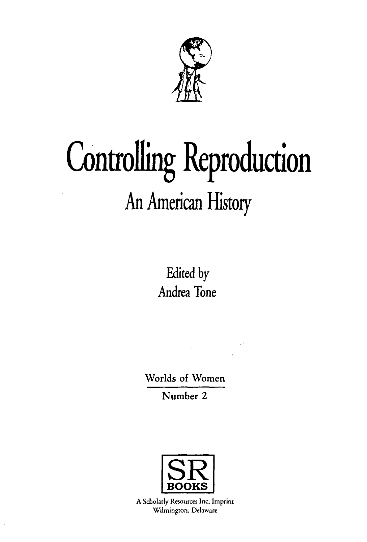

# **Controlling Reproduction** An American History

Edited by Andrea Tone

Worlds of Women

Number 2



A Scholarly Resources Inc. Imprint Wilmington, Delaware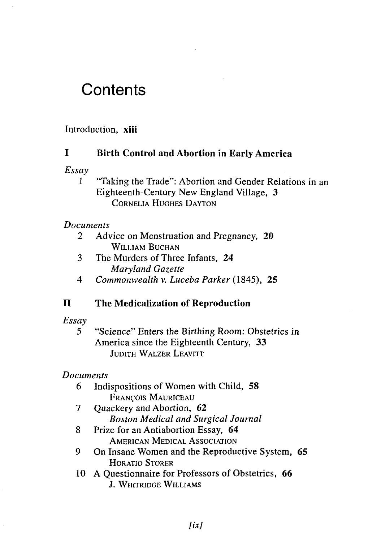# **Contents**

## Introduction, **xiii**

#### **I Birth Control and Abortion in Early America**

*Essay*

1 "Taking the Trade": Abortion and Gender Relations in an Eighteenth-Century New England Village, 3 CORNELIA HUGHES DAYTON

#### *Documents*

- *2* Advice on Menstruation and Pregnancy, 20 WILLIAM BUCHAN
- 3 The Murders of Three Infants, 24 *Maryland Gazette*
- 4 *Commonwealth* v. *Luceba Parker* (1845), 25

#### **II The Medicalization of Reproduction**

#### *Essay*

5 "Science" Enters the Birthing Room: Obstetrics in America since the Eighteenth Century, 33 JUDITH WALZER LEAVITT

#### *Documents*

- 6 Indispositions of Women with Child, 58 FRANCOIS MAURICEAU
- 7 Ouackery and Abortion, 62 *Boston Medical and Surgical Journal*
- 8 Prize for an Antiabortion Essay, 64 AMERICAN MEDICAL ASSOCIATION
- 9 On Insane Women and the Reproductive System, 65 HORATIO STORER
- 10 A Questionnaire for Professors of Obstetrics, 66 J. WHITRIDGE WILLIAMS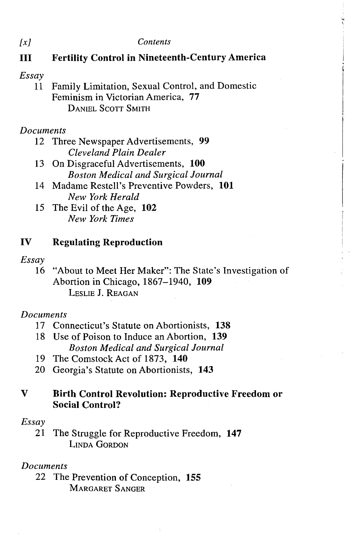*[x] Contents*

# **III Fertility Control in Nineteenth-Century America**

#### *Essay*

11 Family Limitation, Sexual Control, and Domestic Feminism in Victorian America, **77** DANIEL SCOTT SMITH

## *Documents*

- 12 Three Newspaper Advertisements, **99** *Cleveland Plain Dealer*
- 13 On Disgraceful Advertisements, **100** *Boston Medical and Surgical Journal*
- 14 Madame Restell's Preventive Powders, **101** *New York Herald*
- 15 The Evil of the Age, **102** *New York Times*

## **IV Regulating Reproduction**

#### *Essay*

16 "About to Meet Her Maker": The State's Investigation of Abortion in Chicago, 1867-1940, **109** LESLIE J. REAGAN

# *Documents*

- 17 Connecticut's Statute on Abortionists, **138**
- 18 Use of Poison to Induce an Abortion, **139** *Boston Medical and Surgical Journal*
- 19 The Comstock Act of 1873, **140**
- 20 Georgia's Statute on Abortionists, **143**

# **V Birth Control Revolution: Reproductive Freedom or Social Control?**

#### *Essay*

21 The Struggle for Reproductive Freedom, **147** LINDA GORDON

# *Documents*

22 The Prevention of Conception, **155** MARGARET SANGER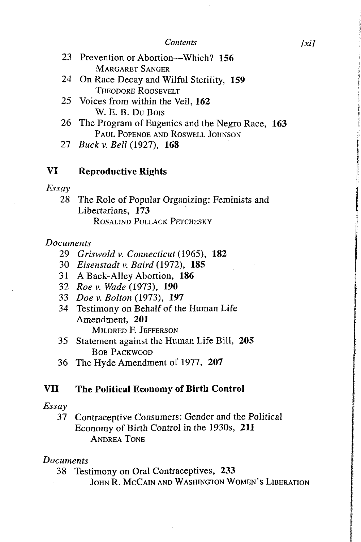#### *Contents [xi]*

- 23 Prevention or Abortion—Which? **156** MARGARET S ANGER
- 24 On Race Decay and Wilful Sterility, **159** THEODORE ROOSEVELT
- 25 Voices from within the Veil, **162** W. E. B. Du Bois
- 26 The Program of Eugenics and the Negro Race, **163** PAUL POPENOE AND ROSWELL JOHNSON
- 27 *Buck v. Bell* (1927), **168**

# **VI Reproductive Rights**

#### *Essay*

28 The Role of Popular Organizing: Feminists and Libertarians, **173** ROSALIND POLLACK PETCHESKY

#### *Documents*

- 29 *Griswold v. Connecticut* (1965), 182
- 30 *Eisenstadt v. Baird* (1972), **185**
- 31 A Back-Alley Abortion, **186**
- 32 *Roe v. Wade* (1973), **190**
- 33 *Doe* v. *Bolton* (1973), **197**
- 34 Testimony on Behalf of the Human Life Amendment, **201** MILDRED F. JEFFERSON
- 35 Statement against the Human Life Bill, **205** BOB PACKWOOD
- 36 The Hyde Amendment of 1977, **207**

# **VII The Political Economy of Birth Control**

#### *Essay*

37 Contraceptive Consumers: Gender and the Political Economy of Birth Control in the 1930s, **211** ANDREA TONE

#### *Documents*

- 38 Testimony on Oral Contraceptives, **233**
	- JOHN R. MCCAIN AND WASHINGTON WOMEN'S LIBERATION